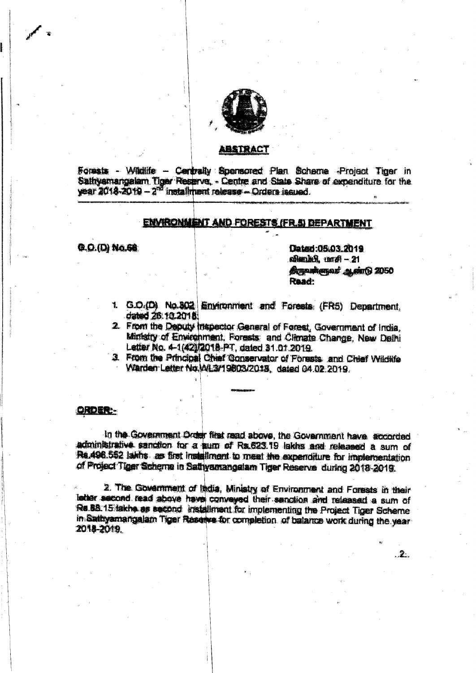

#### **ABSTRACT**

Forests - Wildlife - Centrally Spensored Plan Scheme -Project Tiger in Sathyamangalam Tiger Reserve, - Centre and State Share of expenditure for the year  $2018 - 2019 - 2^{60}$  installment release - Orders issued.

## ENVIRONMENT AND FORESTS (FR.5) DEPARTMENT

### **Q.O.(D) No.60**

Dated:05.03.2019 விளம்பி. மாசி - 21 திருவன்ளுவர் ஆண்டு 2050 Read:

 $\cdot$  2.

- 1. G.O.(D) No.302 Environment and Forests (FR5) Department. dated 26:10.2018
- 2. From the Deputy Inspector General of Forest, Government of India, Ministry of Environment, Forests: and Climate Change, New Delhi Letter No. 4-1(42)/2018-PT, dated 31.01.2019.
- 3. From the Principal Chief Conservator of Forests, and Chief Wildlife Warden Letter No. ML3/19803/2018, dated 04.02.2019.

## **ORDER**

In the Government Order first read above, the Government have accorded administrative sanction for a sum of Rs.623.19 lakhs and released a sum of Re.498.552 laiths as first installment to meet the expenditure for implementation of Project Tiger Scheme in Sathyamangalam Tiger Reserve during 2018-2019.

2. The Government of India, Ministry of Environment and Forests in their letter second read above have conveyed their senction and released a sum of Rs 88:15 lakhe as second installment for implementing the Project Tiger Scheme in Sathyamangalam Tiger Reserve for completion of balance work during the year 2018-2019.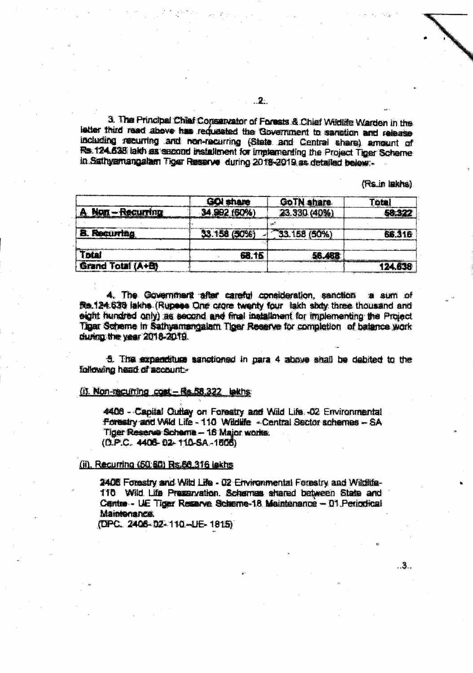3. The Principal Chief Conservator of Forests & Chief Wildlife Warden in the letter third read above has reducated the Government to sanction and release including recurring and non-recurring (State and Central share) amount of Rs. 124.638 laith as second installment for implementing the Project Tiger Scheme in Sathyamangalam Tiger Reserve during 2018-2019 as detailed below:-

(Rs.in lakhs)

. 3..

|                     | share        | GoTN share   | ote    |
|---------------------|--------------|--------------|--------|
| $Mor - Recurrence$  | 34.992 (60%) | 23.330 (40%) |        |
|                     |              |              |        |
| <b>B. Recurring</b> | 33.158 (50%) | 33.158 (50%) | RS 316 |
|                     |              |              |        |
| Total               | 68. 16       | 56.488       |        |
| Grand Total (A+B)   |              |              |        |

4. The Government after careful consideration, sanction a sum of Re.124.638 lakhs (Rupees One crore twenty four lakh shity three thousand and eight hundred only) as second and final installment for implementing the Project Tigar Scheme in Sathyamangalam Tiger Reserve for completion of batance work during the year 2018-2019.

5. The expenditure sanctioned in para 4 above shall be debited to the following head of account.

### (i). Non-recurring cost - Rs. 58.322 lakhs:

4406 - Capital Outlay on Forestry and Wild Life. -02 Environmental Forestry and Wild Life - 110 Wildlife - Central Sector schemes - SA Tiger Reserve Scheme - 16 Major works.  $(D.P.C. 4406.02.110-SA.1606)$ 

#### (ii), Recurring (50:50) Rs.66.316 lekhs

2408 Forestry and Wild Life - 02 Environmental Forestry and Wildlife-110 Wild Life Presenvation. Schemes shared between State and Centre - UE Tiger Reserve Scheme-18 Maintenance - 01 Periodical **Maintenance** 

(DPC. 2406-02-110-UE-1815)

2.